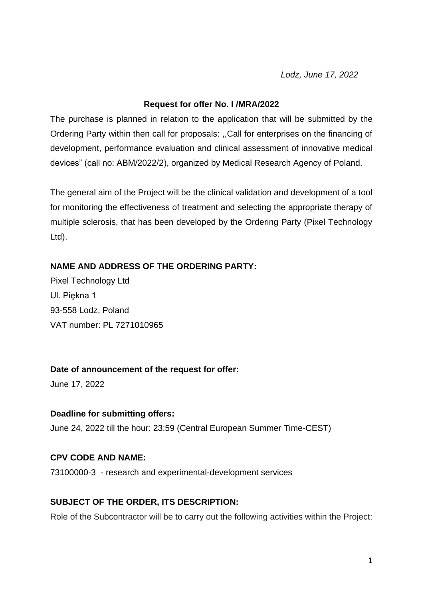*Lodz, June 17, 2022*

#### **Request for offer No. I /MRA/2022**

The purchase is planned in relation to the application that will be submitted by the Ordering Party within then call for proposals: ,,Call for enterprises on the financing of development, performance evaluation and clinical assessment of innovative medical devices" (call no: ABM/2022/2), organized by Medical Research Agency of Poland.

The general aim of the Project will be the clinical validation and development of a tool for monitoring the effectiveness of treatment and selecting the appropriate therapy of multiple sclerosis, that has been developed by the Ordering Party (Pixel Technology Ltd).

### **NAME AND ADDRESS OF THE ORDERING PARTY:**

Pixel Technology Ltd Ul. Piękna 1 93-558 Lodz, Poland VAT number: PL 7271010965

### **Date of announcement of the request for offer:**

June 17, 2022

### **Deadline for submitting offers:**

June 24, 2022 till the hour: 23:59 (Central European Summer Time-CEST)

### **CPV CODE AND NAME:**

73100000-3 - research and experimental-development services

### **SUBJECT OF THE ORDER, ITS DESCRIPTION:**

Role of the Subcontractor will be to carry out the following activities within the Project: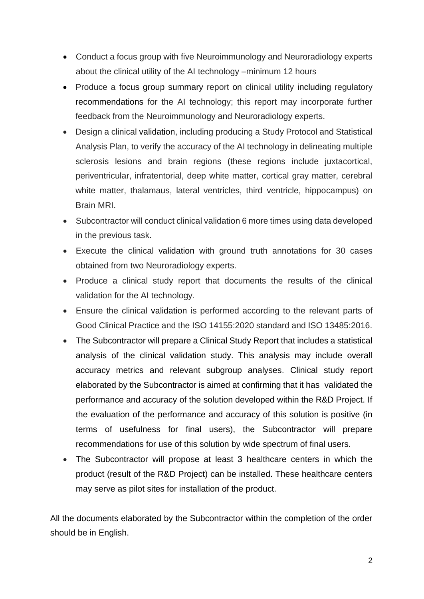- Conduct a focus group with five Neuroimmunology and Neuroradiology experts about the clinical utility of the AI technology –minimum 12 hours
- Produce a focus group summary report on clinical utility including regulatory recommendations for the AI technology; this report may incorporate further feedback from the Neuroimmunology and Neuroradiology experts.
- Design a clinical validation, including producing a Study Protocol and Statistical Analysis Plan, to verify the accuracy of the AI technology in delineating multiple sclerosis lesions and brain regions (these regions include juxtacortical, periventricular, infratentorial, deep white matter, cortical gray matter, cerebral white matter, thalamaus, lateral ventricles, third ventricle, hippocampus) on Brain MRI.
- Subcontractor will conduct clinical validation 6 more times using data developed in the previous task.
- Execute the clinical validation with ground truth annotations for 30 cases obtained from two Neuroradiology experts.
- Produce a clinical study report that documents the results of the clinical validation for the AI technology.
- Ensure the clinical validation is performed according to the relevant parts of Good Clinical Practice and the ISO 14155:2020 standard and ISO 13485:2016.
- The Subcontractor will prepare a Clinical Study Report that includes a statistical analysis of the clinical validation study. This analysis may include overall accuracy metrics and relevant subgroup analyses. Clinical study report elaborated by the Subcontractor is aimed at confirming that it has validated the performance and accuracy of the solution developed within the R&D Project. If the evaluation of the performance and accuracy of this solution is positive (in terms of usefulness for final users), the Subcontractor will prepare recommendations for use of this solution by wide spectrum of final users.
- The Subcontractor will propose at least 3 healthcare centers in which the product (result of the R&D Project) can be installed. These healthcare centers may serve as pilot sites for installation of the product.

All the documents elaborated by the Subcontractor within the completion of the order should be in English.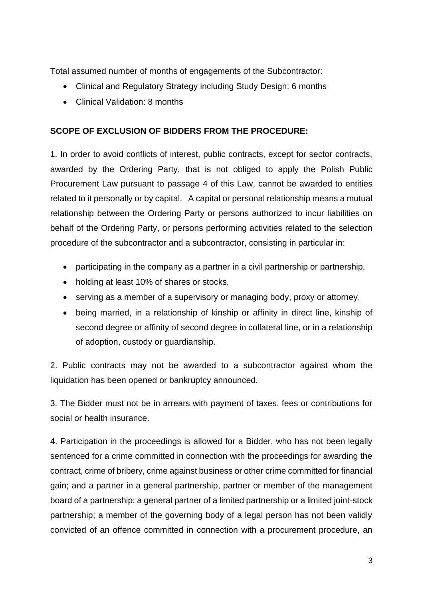Total assumed number of months of engagements of the Subcontractor:

- Clinical and Regulatory Strategy including Study Design: 6 months
- Clinical Validation: 8 months

### **SCOPE OF EXCLUSION OF BIDDERS FROM THE PROCEDURE:**

1. In order to avoid conflicts of interest, public contracts, except for sector contracts, awarded by the Ordering Party, that is not obliged to apply the Polish Public Procurement Law pursuant to passage 4 of this Law, cannot be awarded to entities related to it personally or by capital. A capital or personal relationship means a mutual relationship between the Ordering Party or persons authorized to incur liabilities on behalf of the Ordering Party, or persons performing activities related to the selection procedure of the subcontractor and a subcontractor, consisting in particular in:

- participating in the company as a partner in a civil partnership or partnership,
- holding at least 10% of shares or stocks,
- serving as a member of a supervisory or managing body, proxy or attorney,
- being married, in a relationship of kinship or affinity in direct line, kinship of second degree or affinity of second degree in collateral line, or in a relationship of adoption, custody or guardianship.

2. Public contracts may not be awarded to a subcontractor against whom the liquidation has been opened or bankruptcy announced.

3. The Bidder must not be in arrears with payment of taxes, fees or contributions for social or health insurance.

4. Participation in the proceedings is allowed for a Bidder, who has not been legally sentenced for a crime committed in connection with the proceedings for awarding the contract, crime of bribery, crime against business or other crime committed for financial gain; and a partner in a general partnership, partner or member of the management board of a partnership; a general partner of a limited partnership or a limited joint-stock partnership; a member of the governing body of a legal person has not been validly convicted of an offence committed in connection with a procurement procedure, an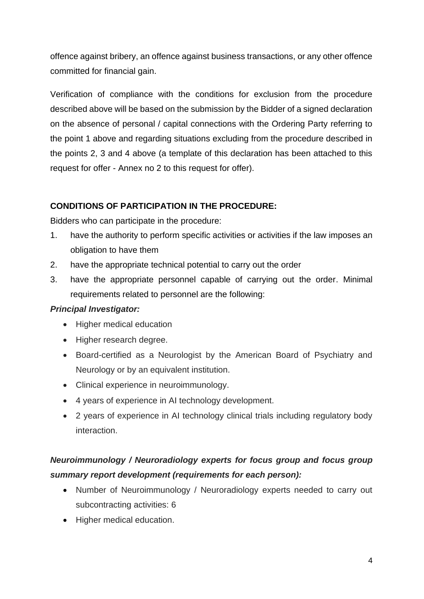offence against bribery, an offence against business transactions, or any other offence committed for financial gain.

Verification of compliance with the conditions for exclusion from the procedure described above will be based on the submission by the Bidder of a signed declaration on the absence of personal / capital connections with the Ordering Party referring to the point 1 above and regarding situations excluding from the procedure described in the points 2, 3 and 4 above (a template of this declaration has been attached to this request for offer - Annex no 2 to this request for offer).

### **CONDITIONS OF PARTICIPATION IN THE PROCEDURE:**

Bidders who can participate in the procedure:

- 1. have the authority to perform specific activities or activities if the law imposes an obligation to have them
- 2. have the appropriate technical potential to carry out the order
- 3. have the appropriate personnel capable of carrying out the order. Minimal requirements related to personnel are the following:

### *Principal Investigator:*

- Higher medical education
- Higher research degree.
- Board-certified as a Neurologist by the American Board of Psychiatry and Neurology or by an equivalent institution.
- Clinical experience in neuroimmunology.
- 4 years of experience in AI technology development.
- 2 years of experience in AI technology clinical trials including regulatory body interaction.

## *Neuroimmunology / Neuroradiology experts for focus group and focus group summary report development (requirements for each person):*

- Number of Neuroimmunology / Neuroradiology experts needed to carry out subcontracting activities: 6
- Higher medical education.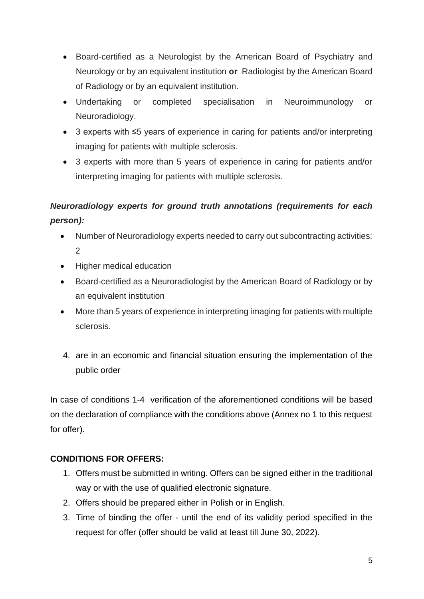- Board-certified as a Neurologist by the American Board of Psychiatry and Neurology or by an equivalent institution **or** Radiologist by the American Board of Radiology or by an equivalent institution.
- Undertaking or completed specialisation in Neuroimmunology or Neuroradiology.
- 3 experts with ≤5 years of experience in caring for patients and/or interpreting imaging for patients with multiple sclerosis.
- 3 experts with more than 5 years of experience in caring for patients and/or interpreting imaging for patients with multiple sclerosis.

## *Neuroradiology experts for ground truth annotations (requirements for each person):*

- Number of Neuroradiology experts needed to carry out subcontracting activities: 2
- Higher medical education
- Board-certified as a Neuroradiologist by the American Board of Radiology or by an equivalent institution
- More than 5 years of experience in interpreting imaging for patients with multiple sclerosis.
- 4. are in an economic and financial situation ensuring the implementation of the public order

In case of conditions 1-4 verification of the aforementioned conditions will be based on the declaration of compliance with the conditions above (Annex no 1 to this request for offer).

### **CONDITIONS FOR OFFERS:**

- 1. Offers must be submitted in writing. Offers can be signed either in the traditional way or with the use of qualified electronic signature.
- 2. Offers should be prepared either in Polish or in English.
- 3. Time of binding the offer until the end of its validity period specified in the request for offer (offer should be valid at least till June 30, 2022).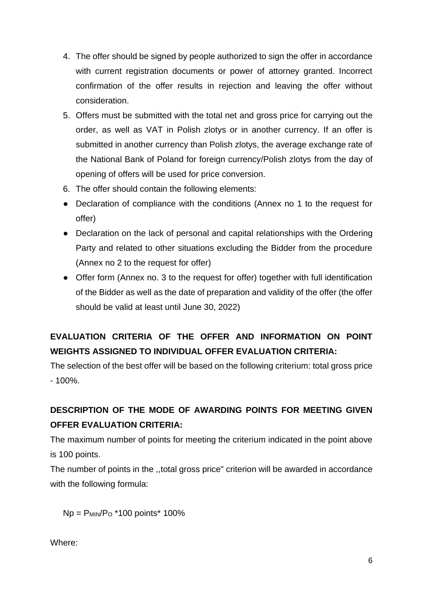- 4. The offer should be signed by people authorized to sign the offer in accordance with current registration documents or power of attorney granted. Incorrect confirmation of the offer results in rejection and leaving the offer without consideration.
- 5. Offers must be submitted with the total net and gross price for carrying out the order, as well as VAT in Polish zlotys or in another currency. If an offer is submitted in another currency than Polish zlotys, the average exchange rate of the National Bank of Poland for foreign currency/Polish zlotys from the day of opening of offers will be used for price conversion.
- 6. The offer should contain the following elements:
- Declaration of compliance with the conditions (Annex no 1 to the request for offer)
- Declaration on the lack of personal and capital relationships with the Ordering Party and related to other situations excluding the Bidder from the procedure (Annex no 2 to the request for offer)
- Offer form (Annex no. 3 to the request for offer) together with full identification of the Bidder as well as the date of preparation and validity of the offer (the offer should be valid at least until June 30, 2022)

# **EVALUATION CRITERIA OF THE OFFER AND INFORMATION ON POINT WEIGHTS ASSIGNED TO INDIVIDUAL OFFER EVALUATION CRITERIA:**

The selection of the best offer will be based on the following criterium: total gross price - 100%.

# **DESCRIPTION OF THE MODE OF AWARDING POINTS FOR MEETING GIVEN OFFER EVALUATION CRITERIA:**

The maximum number of points for meeting the criterium indicated in the point above is 100 points.

The number of points in the ,,total gross price" criterion will be awarded in accordance with the following formula:

 $Np = P_{MIN}/P_0$  \*100 points \* 100%

Where: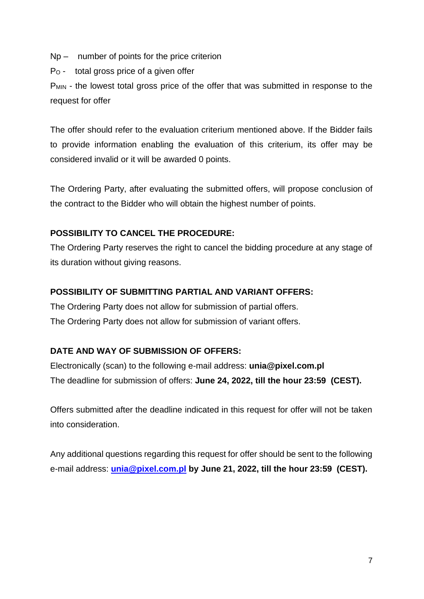Np – number of points for the price criterion

P<sup>O</sup> - total gross price of a given offer

P<sub>MIN</sub> - the lowest total gross price of the offer that was submitted in response to the request for offer

The offer should refer to the evaluation criterium mentioned above. If the Bidder fails to provide information enabling the evaluation of this criterium, its offer may be considered invalid or it will be awarded 0 points.

The Ordering Party, after evaluating the submitted offers, will propose conclusion of the contract to the Bidder who will obtain the highest number of points.

### **POSSIBILITY TO CANCEL THE PROCEDURE:**

The Ordering Party reserves the right to cancel the bidding procedure at any stage of its duration without giving reasons.

### **POSSIBILITY OF SUBMITTING PARTIAL AND VARIANT OFFERS:**

The Ordering Party does not allow for submission of partial offers. The Ordering Party does not allow for submission of variant offers.

### **DATE AND WAY OF SUBMISSION OF OFFERS:**

Electronically (scan) to the following e-mail address: **unia@pixel.com.pl** The deadline for submission of offers: **June 24, 2022, till the hour 23:59 (CEST).**

Offers submitted after the deadline indicated in this request for offer will not be taken into consideration.

Any additional questions regarding this request for offer should be sent to the following e-mail address: **[unia@pixel.com.pl](mailto:unia@pixel.com.pl) by June 21, 2022, till the hour 23:59 (CEST).**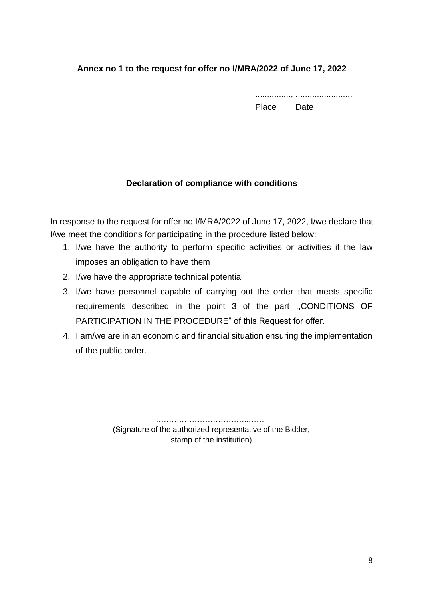### **Annex no 1 to the request for offer no I/MRA/2022 of June 17, 2022**

..............., ........................ Place Date

### **Declaration of compliance with conditions**

In response to the request for offer no I/MRA/2022 of June 17, 2022, I/we declare that I/we meet the conditions for participating in the procedure listed below:

- 1. I/we have the authority to perform specific activities or activities if the law imposes an obligation to have them
- 2. I/we have the appropriate technical potential
- 3. I/we have personnel capable of carrying out the order that meets specific requirements described in the point 3 of the part ,,CONDITIONS OF PARTICIPATION IN THE PROCEDURE" of this Request for offer.
- 4. I am/we are in an economic and financial situation ensuring the implementation of the public order.

 ……….……………………..…… (Signature of the authorized representative of the Bidder, stamp of the institution)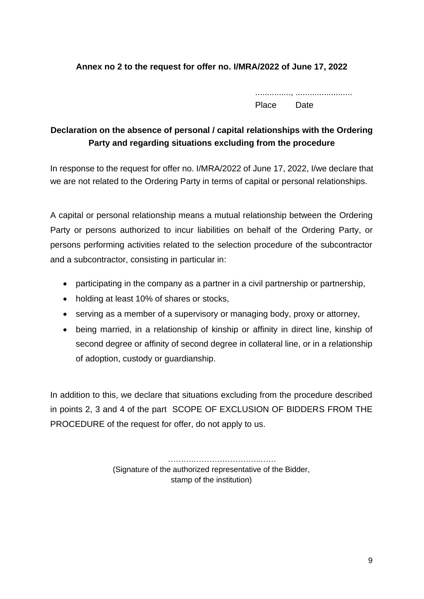### **Annex no 2 to the request for offer no. I/MRA/2022 of June 17, 2022**

..............., ........................ Place Date

### **Declaration on the absence of personal / capital relationships with the Ordering Party and regarding situations excluding from the procedure**

In response to the request for offer no. I/MRA/2022 of June 17, 2022, I/we declare that we are not related to the Ordering Party in terms of capital or personal relationships.

A capital or personal relationship means a mutual relationship between the Ordering Party or persons authorized to incur liabilities on behalf of the Ordering Party, or persons performing activities related to the selection procedure of the subcontractor and a subcontractor, consisting in particular in:

- participating in the company as a partner in a civil partnership or partnership,
- holding at least 10% of shares or stocks,
- serving as a member of a supervisory or managing body, proxy or attorney,
- being married, in a relationship of kinship or affinity in direct line, kinship of second degree or affinity of second degree in collateral line, or in a relationship of adoption, custody or guardianship.

In addition to this, we declare that situations excluding from the procedure described in points 2, 3 and 4 of the part SCOPE OF EXCLUSION OF BIDDERS FROM THE PROCEDURE of the request for offer, do not apply to us.

> ……….……………………..…… (Signature of the authorized representative of the Bidder, stamp of the institution)